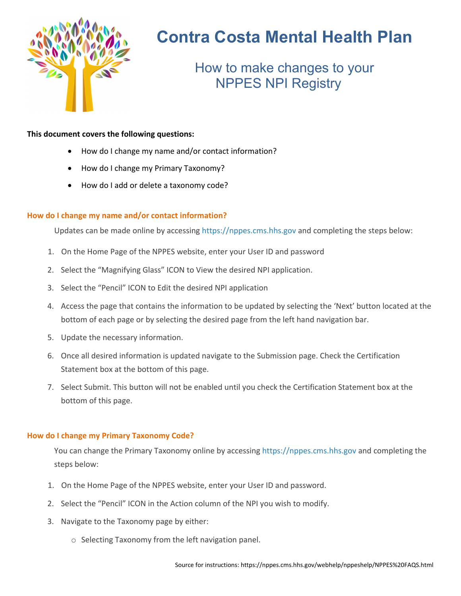

# **Contra Costa Mental Health Plan**

How to make changes to your NPPES NPI Registry

### **This document covers the following questions:**

- How do I change my name and/or contact information?
- How do I change my Primary Taxonomy?
- How do I add or delete a taxonomy code?

## **How do I change my name and/or contact information?**

Updates can be made online by accessing https://nppes.cms.hhs.gov and completing the steps below:

- 1. On the Home Page of the NPPES website, enter your User ID and password
- 2. Select the "Magnifying Glass" ICON to View the desired NPI application.
- 3. Select the "Pencil" ICON to Edit the desired NPI application
- 4. Access the page that contains the information to be updated by selecting the 'Next' button located at the bottom of each page or by selecting the desired page from the left hand navigation bar.
- 5. Update the necessary information.
- 6. Once all desired information is updated navigate to the Submission page. Check the Certification Statement box at the bottom of this page.
- 7. Select Submit. This button will not be enabled until you check the Certification Statement box at the bottom of this page.

#### **How do I change my Primary Taxonomy Code?**

You can change the Primary Taxonomy online by accessing https://nppes.cms.hhs.gov and completing the steps below:

- 1. On the Home Page of the NPPES website, enter your User ID and password.
- 2. Select the "Pencil" ICON in the Action column of the NPI you wish to modify.
- 3. Navigate to the Taxonomy page by either:
	- o Selecting Taxonomy from the left navigation panel.